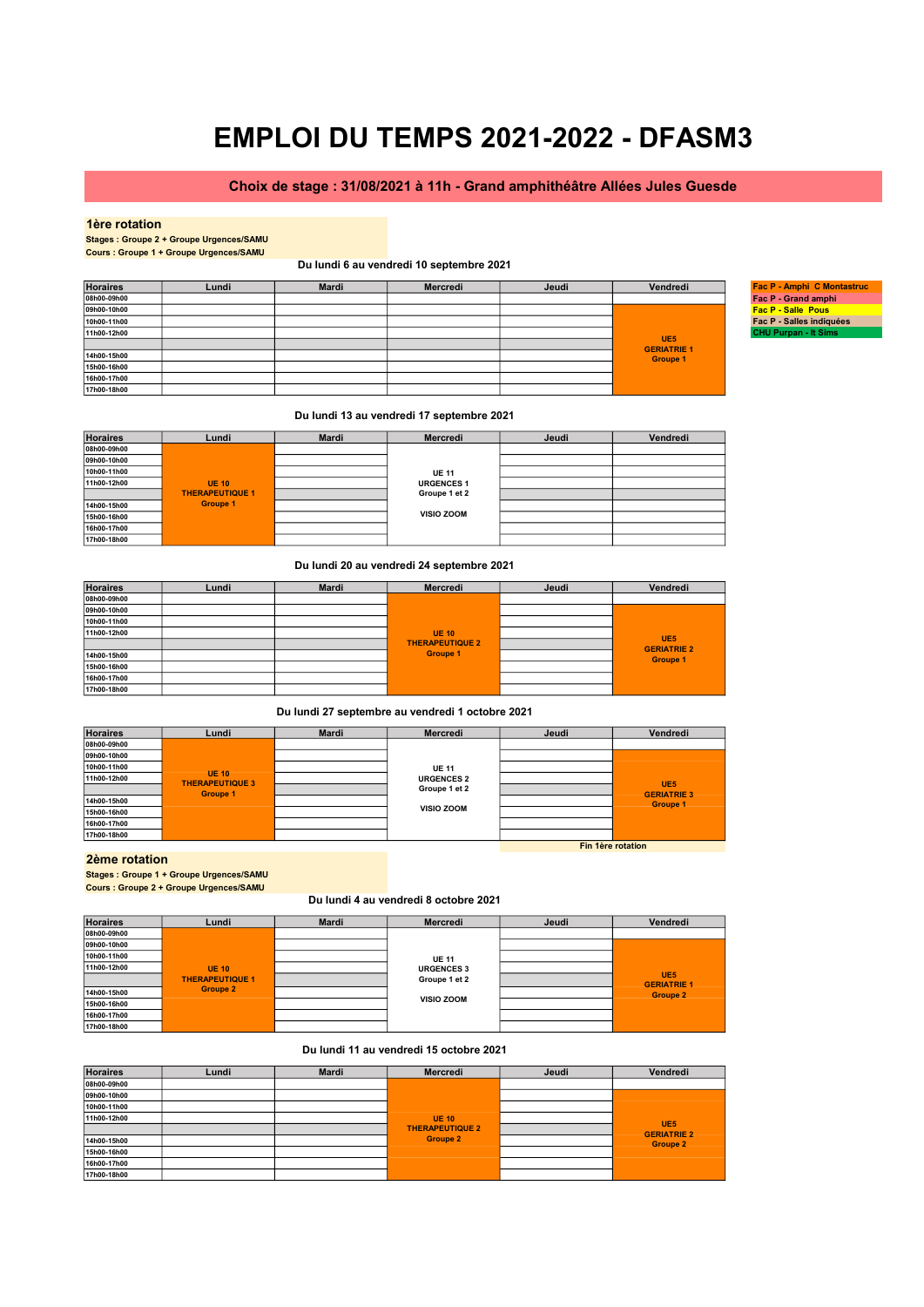# Choix de stage : 31/08/2021 à 11h - Grand amphithéâtre Allées Jules Guesde

#### 1ère rotation

Stages : Groupe 2 + Groupe Urgences/SAMU Cours : Groupe 1 + Groupe Urgences/SAMU

### Du lundi 6 au vendredi 10 septembre 2021

| <b>Horaires</b> | Lundi | <b>Mardi</b> | Mercredi | Jeudi | Vendredi                              | Fac P - Amphi C Montastruc  |
|-----------------|-------|--------------|----------|-------|---------------------------------------|-----------------------------|
| 08h00-09h00     |       |              |          |       |                                       | Fac P - Grand amphi         |
| 09h00-10h00     |       |              |          |       |                                       | <b>Fac P - Salle Pous</b>   |
| 10h00-11h00     |       |              |          |       |                                       | Fac P - Salles indiquées    |
| 11h00-12h00     |       |              |          |       |                                       | <b>CHU Purpan - It Sims</b> |
|                 |       |              |          |       | UE <sub>5</sub><br><b>GERIATRIE 1</b> |                             |
| 14h00-15h00     |       |              |          |       | <b>Groupe 1</b>                       |                             |
| 15h00-16h00     |       |              |          |       |                                       |                             |
| 16h00-17h00     |       |              |          |       |                                       |                             |
| 17h00-18h00     |       |              |          |       |                                       |                             |

### Du lundi 13 au vendredi 17 septembre 2021

| <b>Horaires</b> | Lundi                  | <b>Mardi</b> | Mercredi          | Jeudi | Vendredi |
|-----------------|------------------------|--------------|-------------------|-------|----------|
| 08h00-09h00     |                        |              |                   |       |          |
| 09h00-10h00     |                        |              |                   |       |          |
| 10h00-11h00     |                        |              | <b>UE 11</b>      |       |          |
| 11h00-12h00     | <b>UE 10</b>           |              | <b>URGENCES 1</b> |       |          |
|                 | <b>THERAPEUTIQUE 1</b> |              | Groupe 1 et 2     |       |          |
| 14h00-15h00     | <b>Groupe 1</b>        |              |                   |       |          |
| 15h00-16h00     |                        |              | <b>VISIO ZOOM</b> |       |          |
| 16h00-17h00     |                        |              |                   |       |          |
| 17h00-18h00     |                        |              |                   |       |          |

### Du lundi 20 au vendredi 24 septembre 2021

| <b>Horaires</b> | Lundi | <b>Mardi</b> | Mercredi               | Jeudi | Vendredi                              |
|-----------------|-------|--------------|------------------------|-------|---------------------------------------|
| 08h00-09h00     |       |              |                        |       |                                       |
| 09h00-10h00     |       |              |                        |       |                                       |
| 10h00-11h00     |       |              |                        |       |                                       |
| 11h00-12h00     |       |              | <b>UE 10</b>           |       |                                       |
|                 |       |              | <b>THERAPEUTIQUE 2</b> |       | UE <sub>5</sub><br><b>GERIATRIE 2</b> |
| 14h00-15h00     |       |              | <b>Groupe 1</b>        |       | <b>Groupe 1</b>                       |
| 15h00-16h00     |       |              |                        |       |                                       |
| 16h00-17h00     |       |              |                        |       |                                       |
| 17h00-18h00     |       |              |                        |       |                                       |

### Du lundi 27 septembre au vendredi 1 octobre 2021

| <b>Horaires</b> | Lundi                                  | <b>Mardi</b> | Mercredi          | Jeudi | Vendredi                              |
|-----------------|----------------------------------------|--------------|-------------------|-------|---------------------------------------|
| 08h00-09h00     |                                        |              |                   |       |                                       |
| 09h00-10h00     |                                        |              |                   |       |                                       |
| 10h00-11h00     |                                        |              | <b>UE 11</b>      |       |                                       |
| 11h00-12h00     | <b>UE 10</b><br><b>THERAPEUTIQUE 3</b> |              | <b>URGENCES 2</b> |       |                                       |
|                 | <b>Groupe 1</b>                        |              | Groupe 1 et 2     |       | UE <sub>5</sub><br><b>GERIATRIE 3</b> |
| 14h00-15h00     |                                        |              |                   |       | <b>Groupe 1</b>                       |
| 15h00-16h00     |                                        |              | <b>VISIO ZOOM</b> |       |                                       |
| 16h00-17h00     |                                        |              |                   |       |                                       |
| 17h00-18h00     |                                        |              |                   |       |                                       |
|                 |                                        |              | Fin 1ère rotation |       |                                       |

# 2ème rotation

Stages : Groupe 1 + Groupe Urgences/SAMU Cours : Groupe 2 + Groupe Urgences/SAMU

#### Du lundi 4 au vendredi 8 octobre 2021

| <b>Horaires</b> | Lundi                  | <b>Mardi</b> | Mercredi          | Jeudi | Vendredi                              |
|-----------------|------------------------|--------------|-------------------|-------|---------------------------------------|
| 08h00-09h00     |                        |              |                   |       |                                       |
| 09h00-10h00     |                        |              |                   |       |                                       |
| 10h00-11h00     |                        |              | <b>UE 11</b>      |       |                                       |
| 11h00-12h00     | <b>UE 10</b>           |              | <b>URGENCES 3</b> |       |                                       |
|                 | <b>THERAPEUTIQUE 1</b> |              | Groupe 1 et 2     |       | UE <sub>5</sub><br><b>GERIATRIE 1</b> |
| 14h00-15h00     | <b>Groupe 2</b>        |              |                   |       | <b>Groupe 2</b>                       |
| 15h00-16h00     |                        |              | <b>VISIO ZOOM</b> |       |                                       |
| 16h00-17h00     |                        |              |                   |       |                                       |
| 17h00-18h00     |                        |              |                   |       |                                       |

#### Du lundi 11 au vendredi 15 octobre 2021

| <b>Horaires</b> | Lundi | <b>Mardi</b> | Mercredi               | Jeudi | Vendredi                              |
|-----------------|-------|--------------|------------------------|-------|---------------------------------------|
| 08h00-09h00     |       |              |                        |       |                                       |
| 09h00-10h00     |       |              |                        |       |                                       |
| 10h00-11h00     |       |              |                        |       |                                       |
| 11h00-12h00     |       |              | <b>UE 10</b>           |       |                                       |
|                 |       |              | <b>THERAPEUTIQUE 2</b> |       | UE <sub>5</sub><br><b>GERIATRIE 2</b> |
| 14h00-15h00     |       |              | <b>Groupe 2</b>        |       | <b>Groupe 2</b>                       |
| 15h00-16h00     |       |              |                        |       |                                       |
| 16h00-17h00     |       |              |                        |       |                                       |
| 17h00-18h00     |       |              |                        |       |                                       |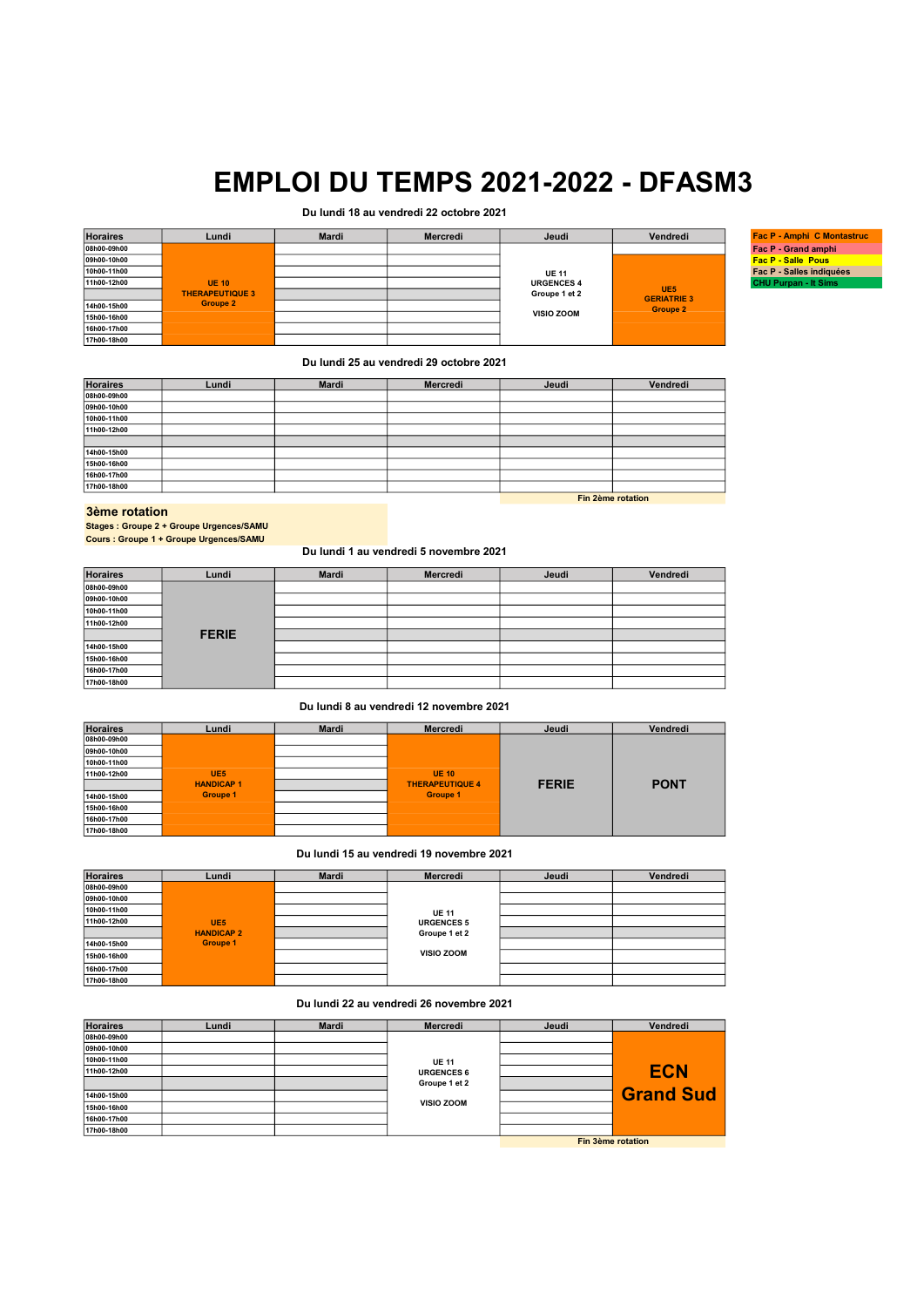# Du lundi 18 au vendredi 22 octobre 2021

| <b>Horaires</b> | Lundi                  | Mardi | Mercredi | Jeudi             | Vendredi           | <b>Fac P - Amphi C Montastruc</b> |
|-----------------|------------------------|-------|----------|-------------------|--------------------|-----------------------------------|
| 08h00-09h00     |                        |       |          |                   |                    | Fac P - Grand amphi               |
| 09h00-10h00     |                        |       |          |                   |                    | <b>Fac P - Salle Pous</b>         |
| 10h00-11h00     |                        |       |          | <b>UE 11</b>      |                    | Fac P - Salles indiquées          |
| 11h00-12h00     | <b>UE 10</b>           |       |          | <b>URGENCES 4</b> | UE <sub>5</sub>    | <b>CHU Purpan - It Sims</b>       |
|                 | <b>THERAPEUTIQUE 3</b> |       |          | Groupe 1 et 2     | <b>GERIATRIE 3</b> |                                   |
| 14h00-15h00     | <b>Groupe 2</b>        |       |          |                   | <b>Groupe 2</b>    |                                   |
| 15h00-16h00     |                        |       |          | <b>VISIO ZOOM</b> |                    |                                   |
| 16h00-17h00     |                        |       |          |                   |                    |                                   |
| 17h00-18h00     |                        |       |          |                   |                    |                                   |

### Du lundi 25 au vendredi 29 octobre 2021

| <b>Horaires</b> | Lundi | <b>Mardi</b> | Mercredi | Jeudi | Vendredi          |
|-----------------|-------|--------------|----------|-------|-------------------|
| 08h00-09h00     |       |              |          |       |                   |
| 09h00-10h00     |       |              |          |       |                   |
| 10h00-11h00     |       |              |          |       |                   |
| 11h00-12h00     |       |              |          |       |                   |
|                 |       |              |          |       |                   |
| 14h00-15h00     |       |              |          |       |                   |
| 15h00-16h00     |       |              |          |       |                   |
| 16h00-17h00     |       |              |          |       |                   |
| 17h00-18h00     |       |              |          |       |                   |
|                 |       |              |          |       | Fin 2ème rotation |

#### 3ème rotation

Stages : Groupe 2 + Groupe Urgences/SAMU Cours : Groupe 1 + Groupe Urgences/SAMU

## Du lundi 1 au vendredi 5 novembre 2021

| <b>Horaires</b> | Lundi        | <b>Mardi</b> | Mercredi | Jeudi | Vendredi |
|-----------------|--------------|--------------|----------|-------|----------|
| 08h00-09h00     |              |              |          |       |          |
| 09h00-10h00     |              |              |          |       |          |
| 10h00-11h00     |              |              |          |       |          |
| 11h00-12h00     |              |              |          |       |          |
|                 | <b>FERIE</b> |              |          |       |          |
| 14h00-15h00     |              |              |          |       |          |
| 15h00-16h00     |              |              |          |       |          |
| 16h00-17h00     |              |              |          |       |          |
| 17h00-18h00     |              |              |          |       |          |

### Du lundi 8 au vendredi 12 novembre 2021

| <b>Horaires</b> | Lundi            | <b>Mardi</b> | Mercredi               | Jeudi        | Vendredi    |
|-----------------|------------------|--------------|------------------------|--------------|-------------|
| 08h00-09h00     |                  |              |                        |              |             |
| 09h00-10h00     |                  |              |                        |              |             |
| 10h00-11h00     |                  |              |                        |              |             |
| 11h00-12h00     | UE <sub>5</sub>  |              | <b>UE 10</b>           |              |             |
|                 | <b>HANDICAP1</b> |              | <b>THERAPEUTIQUE 4</b> | <b>FERIE</b> | <b>PONT</b> |
| 14h00-15h00     | <b>Groupe 1</b>  |              | <b>Groupe 1</b>        |              |             |
| 15h00-16h00     |                  |              |                        |              |             |
| 16h00-17h00     |                  |              |                        |              |             |
| 17h00-18h00     |                  |              |                        |              |             |

#### Du lundi 15 au vendredi 19 novembre 2021

| <b>Horaires</b> | Lundi             | <b>Mardi</b> | Mercredi          | Jeudi | Vendredi |
|-----------------|-------------------|--------------|-------------------|-------|----------|
| 08h00-09h00     |                   |              |                   |       |          |
| 09h00-10h00     |                   |              |                   |       |          |
| 10h00-11h00     |                   |              | <b>UE 11</b>      |       |          |
| 11h00-12h00     | UE <sub>5</sub>   |              | <b>URGENCES 5</b> |       |          |
|                 | <b>HANDICAP 2</b> |              | Groupe 1 et 2     |       |          |
| 14h00-15h00     | <b>Groupe 1</b>   |              |                   |       |          |
| 15h00-16h00     |                   |              | <b>VISIO ZOOM</b> |       |          |
| 16h00-17h00     |                   |              |                   |       |          |
| 17h00-18h00     |                   |              |                   |       |          |

## Du lundi 22 au vendredi 26 novembre 2021

| <b>Horaires</b> | Lundi | <b>Mardi</b> | <b>Mercredi</b>                    | Jeudi | Vendredi         |
|-----------------|-------|--------------|------------------------------------|-------|------------------|
| 08h00-09h00     |       |              |                                    |       |                  |
| 09h00-10h00     |       |              |                                    |       |                  |
| 10h00-11h00     |       |              | <b>UE 11</b>                       |       |                  |
| 11h00-12h00     |       |              | <b>URGENCES 6</b><br>Groupe 1 et 2 |       | <b>ECN</b>       |
|                 |       |              |                                    |       |                  |
| 14h00-15h00     |       |              |                                    |       | <b>Grand Sud</b> |
| 15h00-16h00     |       |              | <b>VISIO ZOOM</b>                  |       |                  |
| 16h00-17h00     |       |              |                                    |       |                  |
| 17h00-18h00     |       |              |                                    |       |                  |
|                 |       |              | Fin 3ème rotation                  |       |                  |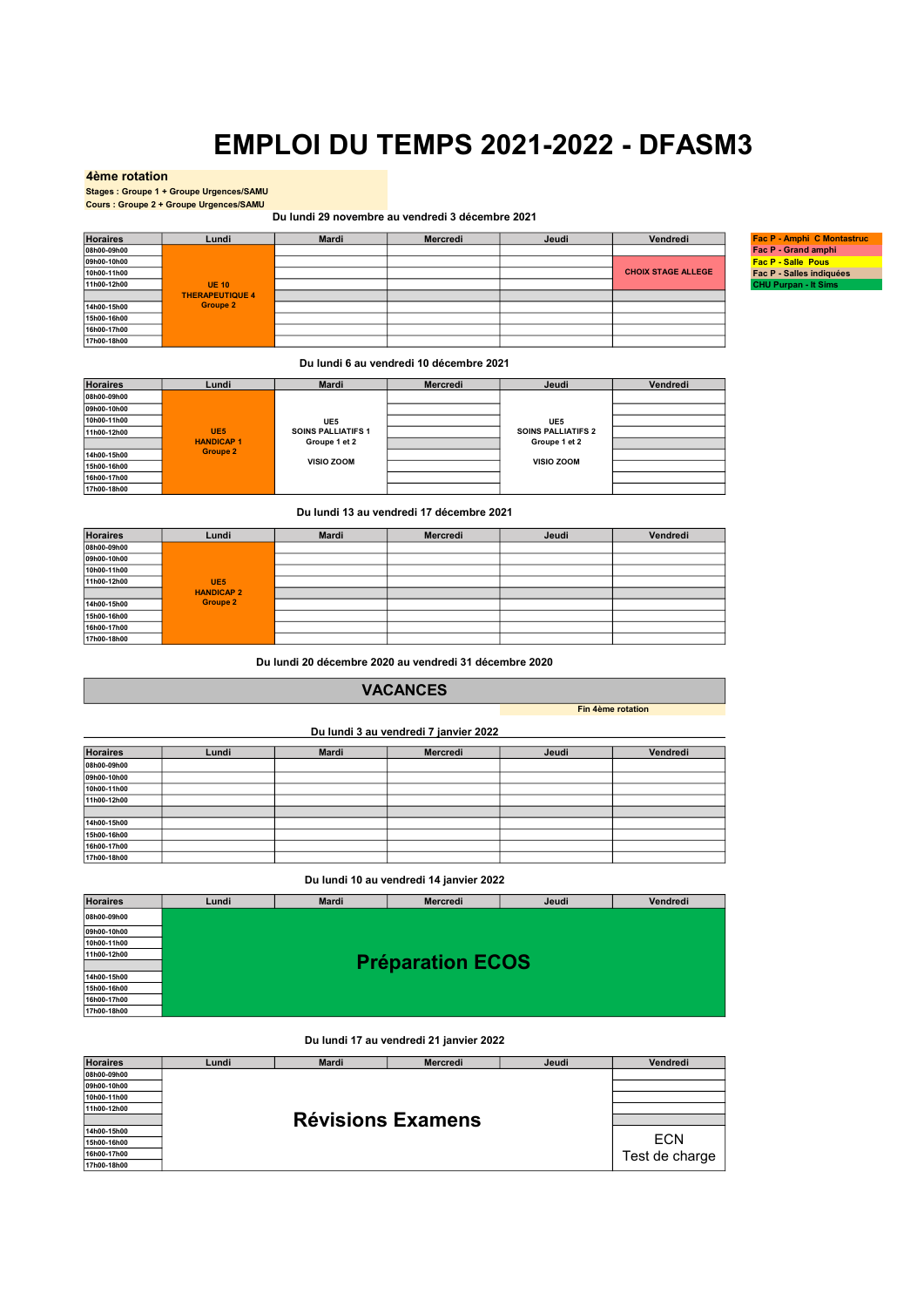### 4ème rotation

Stages : Groupe 1 + Groupe Urgences/SAMU Cours : Groupe 2 + Groupe Urgences/SAMU

Du lundi 29 novembre au vendredi 3 décembre 2021

| <b>Horaires</b> | Lundi                  | Mardi | Mercredi | Jeudi | Vendredi                  | Fac P - Amphi C Montastruc  |
|-----------------|------------------------|-------|----------|-------|---------------------------|-----------------------------|
| 08h00-09h00     |                        |       |          |       |                           | Fac P - Grand amphi         |
| 09h00-10h00     |                        |       |          |       |                           | <b>Fac P - Salle Pous</b>   |
| 10h00-11h00     |                        |       |          |       | <b>CHOIX STAGE ALLEGE</b> | Fac P - Salles indiquées    |
| 11h00-12h00     | <b>UE 10</b>           |       |          |       |                           | <b>CHU Purpan - It Sims</b> |
|                 | <b>THERAPEUTIQUE 4</b> |       |          |       |                           |                             |
| 14h00-15h00     | Groupe 2               |       |          |       |                           |                             |
| 15h00-16h00     |                        |       |          |       |                           |                             |
| 16h00-17h00     |                        |       |          |       |                           |                             |
| 17h00-18h00     |                        |       |          |       |                           |                             |

Du lundi 6 au vendredi 10 décembre 2021

| <b>Horaires</b> | Lundi            | <b>Mardi</b>              | Mercredi | Jeudi                     | Vendredi |
|-----------------|------------------|---------------------------|----------|---------------------------|----------|
| 08h00-09h00     |                  |                           |          |                           |          |
| 09h00-10h00     |                  |                           |          |                           |          |
| 10h00-11h00     |                  | UE5                       |          | UE5                       |          |
| 11h00-12h00     | UE <sub>5</sub>  | <b>SOINS PALLIATIFS 1</b> |          | <b>SOINS PALLIATIFS 2</b> |          |
|                 | <b>HANDICAP1</b> | Groupe 1 et 2             |          | Groupe 1 et 2             |          |
| 14h00-15h00     | <b>Groupe 2</b>  |                           |          |                           |          |
| 15h00-16h00     |                  | VISIO ZOOM                |          | <b>VISIO ZOOM</b>         |          |
| 16h00-17h00     |                  |                           |          |                           |          |
| 17h00-18h00     |                  |                           |          |                           |          |

Du lundi 13 au vendredi 17 décembre 2021

| <b>Horaires</b> | Lundi             | <b>Mardi</b> | Mercredi | Jeudi | Vendredi |
|-----------------|-------------------|--------------|----------|-------|----------|
| 08h00-09h00     |                   |              |          |       |          |
| 09h00-10h00     |                   |              |          |       |          |
| 10h00-11h00     |                   |              |          |       |          |
| 11h00-12h00     | UE <sub>5</sub>   |              |          |       |          |
|                 | <b>HANDICAP 2</b> |              |          |       |          |
| 14h00-15h00     | <b>Groupe 2</b>   |              |          |       |          |
| 15h00-16h00     |                   |              |          |       |          |
| 16h00-17h00     |                   |              |          |       |          |
| 17h00-18h00     |                   |              |          |       |          |

Du lundi 20 décembre 2020 au vendredi 31 décembre 2020

# VACANCES

Fin 4ème rotation

Du lundi 3 au vendredi 7 janvier 2022

| <b>Horaires</b> | Lundi | <b>Mardi</b> | Mercredi | Jeudi | Vendredi |
|-----------------|-------|--------------|----------|-------|----------|
| 08h00-09h00     |       |              |          |       |          |
| 09h00-10h00     |       |              |          |       |          |
| 10h00-11h00     |       |              |          |       |          |
| 11h00-12h00     |       |              |          |       |          |
|                 |       |              |          |       |          |
| 14h00-15h00     |       |              |          |       |          |
| 15h00-16h00     |       |              |          |       |          |
| 16h00-17h00     |       |              |          |       |          |
| 17h00-18h00     |       |              |          |       |          |

Du lundi 10 au vendredi 14 janvier 2022

| <b>Horaires</b> | Lundi | <b>Mardi</b> | Mercredi                | Jeudi | Vendredi |
|-----------------|-------|--------------|-------------------------|-------|----------|
| 08h00-09h00     |       |              |                         |       |          |
| 09h00-10h00     |       |              |                         |       |          |
| 10h00-11h00     |       |              |                         |       |          |
| 11h00-12h00     |       |              |                         |       |          |
|                 |       |              | <b>Préparation ECOS</b> |       |          |
| 14h00-15h00     |       |              |                         |       |          |
| 15h00-16h00     |       |              |                         |       |          |
| 16h00-17h00     |       |              |                         |       |          |
| 17h00-18h00     |       |              |                         |       |          |

### Du lundi 17 au vendredi 21 janvier 2022

| <b>Horaires</b> | Lundi | <b>Mardi</b> | <b>Mercredi</b>          | Jeudi | Vendredi       |
|-----------------|-------|--------------|--------------------------|-------|----------------|
| 08h00-09h00     |       |              |                          |       |                |
| 09h00-10h00     |       |              |                          |       |                |
| 10h00-11h00     |       |              |                          |       |                |
| 11h00-12h00     |       |              |                          |       |                |
|                 |       |              | <b>Révisions Examens</b> |       |                |
| 14h00-15h00     |       |              |                          |       |                |
| 15h00-16h00     |       |              |                          |       | <b>ECN</b>     |
| 16h00-17h00     |       |              |                          |       | Test de charge |
| 17h00-18h00     |       |              |                          |       |                |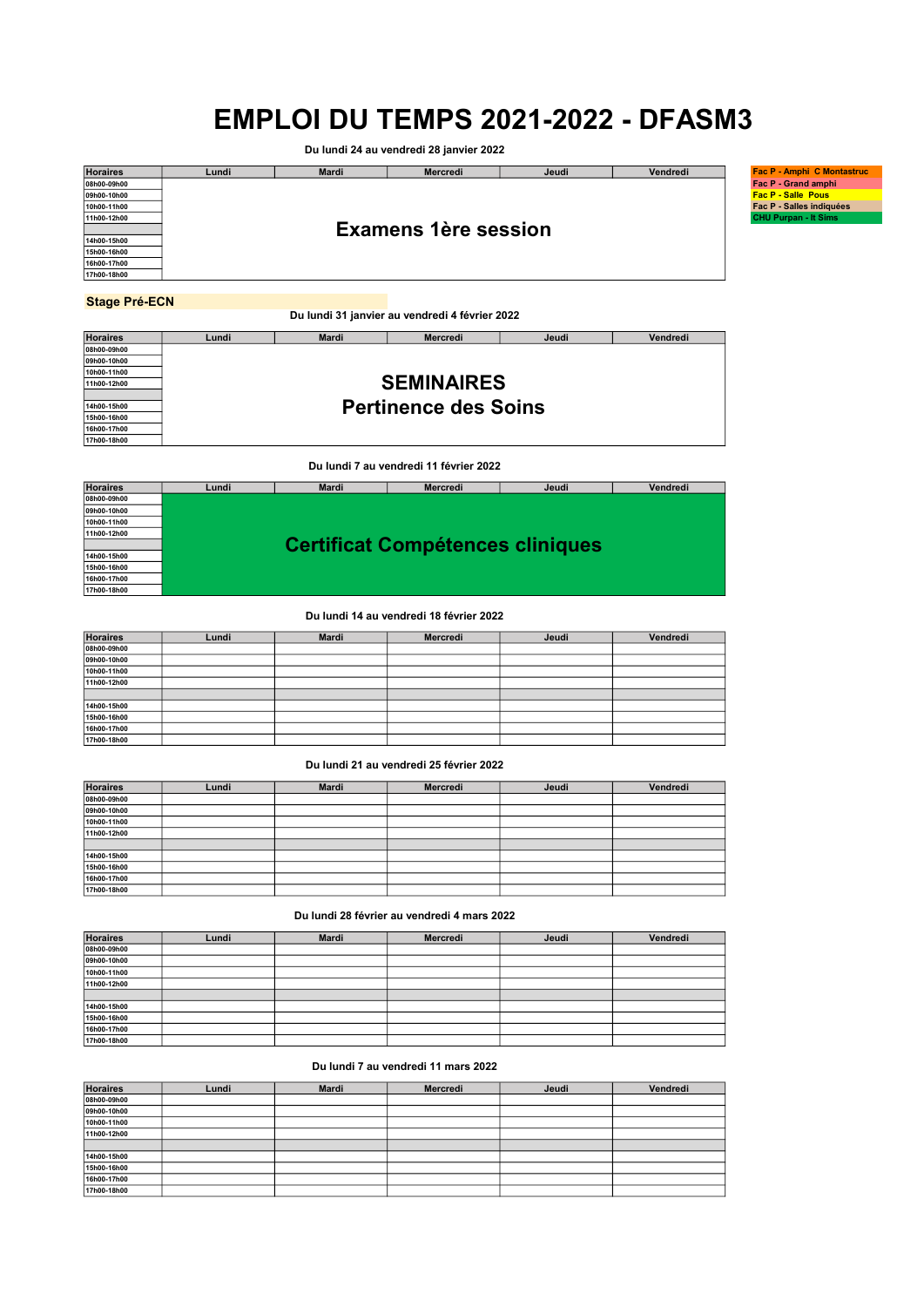Du lundi 24 au vendredi 28 janvier 2022

| <b>Horaires</b>      | Lundi | <b>Mardi</b> | <b>Mercredi</b>                                | Jeudi | Vendredi | <b>Fac P - Amphi C Montastruc</b> |  |  |
|----------------------|-------|--------------|------------------------------------------------|-------|----------|-----------------------------------|--|--|
| 08h00-09h00          |       |              |                                                |       |          | Fac P - Grand amphi               |  |  |
| 09h00-10h00          |       |              |                                                |       |          | <b>Fac P - Salle Pous</b>         |  |  |
| 10h00-11h00          |       |              |                                                |       |          | Fac P - Salles indiquées          |  |  |
| 11h00-12h00          |       |              |                                                |       |          |                                   |  |  |
|                      |       |              | <b>Examens 1ère session</b>                    |       |          |                                   |  |  |
| 14h00-15h00          |       |              |                                                |       |          |                                   |  |  |
| 15h00-16h00          |       |              |                                                |       |          |                                   |  |  |
| 16h00-17h00          |       |              |                                                |       |          |                                   |  |  |
| 17h00-18h00          |       |              |                                                |       |          |                                   |  |  |
|                      |       |              |                                                |       |          |                                   |  |  |
| <b>Stage Pré-ECN</b> |       |              |                                                |       |          |                                   |  |  |
|                      |       |              | Du lundi 31 janvier au vendredi 4 février 2022 |       |          |                                   |  |  |

| <b>Horaires</b> | Lundi | Mardi | <b>Mercredi</b>             | Jeudi | Vendredi |  |  |  |  |  |  |
|-----------------|-------|-------|-----------------------------|-------|----------|--|--|--|--|--|--|
| 08h00-09h00     |       |       |                             |       |          |  |  |  |  |  |  |
| 09h00-10h00     |       |       |                             |       |          |  |  |  |  |  |  |
| 10h00-11h00     |       |       |                             |       |          |  |  |  |  |  |  |
| 11h00-12h00     |       |       | <b>SEMINAIRES</b>           |       |          |  |  |  |  |  |  |
|                 |       |       |                             |       |          |  |  |  |  |  |  |
| 14h00-15h00     |       |       | <b>Pertinence des Soins</b> |       |          |  |  |  |  |  |  |
| 15h00-16h00     |       |       |                             |       |          |  |  |  |  |  |  |
| 16h00-17h00     |       |       |                             |       |          |  |  |  |  |  |  |
| 17h00-18h00     |       |       |                             |       |          |  |  |  |  |  |  |
|                 |       |       |                             |       |          |  |  |  |  |  |  |

Du lundi 7 au vendredi 11 février 2022

| <b>Horaires</b> | Lundi | <b>Mardi</b> | <b>Mercredi</b>                         | Jeudi | Vendredi |
|-----------------|-------|--------------|-----------------------------------------|-------|----------|
| 08h00-09h00     |       |              |                                         |       |          |
| 09h00-10h00     |       |              |                                         |       |          |
| 10h00-11h00     |       |              |                                         |       |          |
| 11h00-12h00     |       |              |                                         |       |          |
|                 |       |              | <b>Certificat Compétences cliniques</b> |       |          |
| 14h00-15h00     |       |              |                                         |       |          |
| 15h00-16h00     |       |              |                                         |       |          |
| 16h00-17h00     |       |              |                                         |       |          |
| 17h00-18h00     |       |              |                                         |       |          |

### Du lundi 14 au vendredi 18 février 2022

| <b>Horaires</b> | Lundi | <b>Mardi</b> | Mercredi | Jeudi | Vendredi |
|-----------------|-------|--------------|----------|-------|----------|
| 08h00-09h00     |       |              |          |       |          |
| 09h00-10h00     |       |              |          |       |          |
| 10h00-11h00     |       |              |          |       |          |
| 11h00-12h00     |       |              |          |       |          |
|                 |       |              |          |       |          |
| 14h00-15h00     |       |              |          |       |          |
| 15h00-16h00     |       |              |          |       |          |
| 16h00-17h00     |       |              |          |       |          |
| 17h00-18h00     |       |              |          |       |          |

## Du lundi 21 au vendredi 25 février 2022

| <b>Horaires</b> | Lundi | <b>Mardi</b> | Mercredi | Jeudi | Vendredi |
|-----------------|-------|--------------|----------|-------|----------|
| 08h00-09h00     |       |              |          |       |          |
| 09h00-10h00     |       |              |          |       |          |
| 10h00-11h00     |       |              |          |       |          |
| 11h00-12h00     |       |              |          |       |          |
|                 |       |              |          |       |          |
| 14h00-15h00     |       |              |          |       |          |
| 15h00-16h00     |       |              |          |       |          |
| 16h00-17h00     |       |              |          |       |          |
| 17h00-18h00     |       |              |          |       |          |

Du lundi 28 février au vendredi 4 mars 2022

| <b>Horaires</b> | Lundi | <b>Mardi</b> | Mercredi | Jeudi | Vendredi |
|-----------------|-------|--------------|----------|-------|----------|
| 08h00-09h00     |       |              |          |       |          |
| 09h00-10h00     |       |              |          |       |          |
| 10h00-11h00     |       |              |          |       |          |
| 11h00-12h00     |       |              |          |       |          |
|                 |       |              |          |       |          |
| 14h00-15h00     |       |              |          |       |          |
| 15h00-16h00     |       |              |          |       |          |
| 16h00-17h00     |       |              |          |       |          |
| 17h00-18h00     |       |              |          |       |          |

## Du lundi 7 au vendredi 11 mars 2022

| <b>Horaires</b> | Lundi | <b>Mardi</b> | Mercredi | Jeudi | Vendredi |
|-----------------|-------|--------------|----------|-------|----------|
| 08h00-09h00     |       |              |          |       |          |
| 09h00-10h00     |       |              |          |       |          |
| 10h00-11h00     |       |              |          |       |          |
| 11h00-12h00     |       |              |          |       |          |
|                 |       |              |          |       |          |
| 14h00-15h00     |       |              |          |       |          |
| 15h00-16h00     |       |              |          |       |          |
| 16h00-17h00     |       |              |          |       |          |
| 17h00-18h00     |       |              |          |       |          |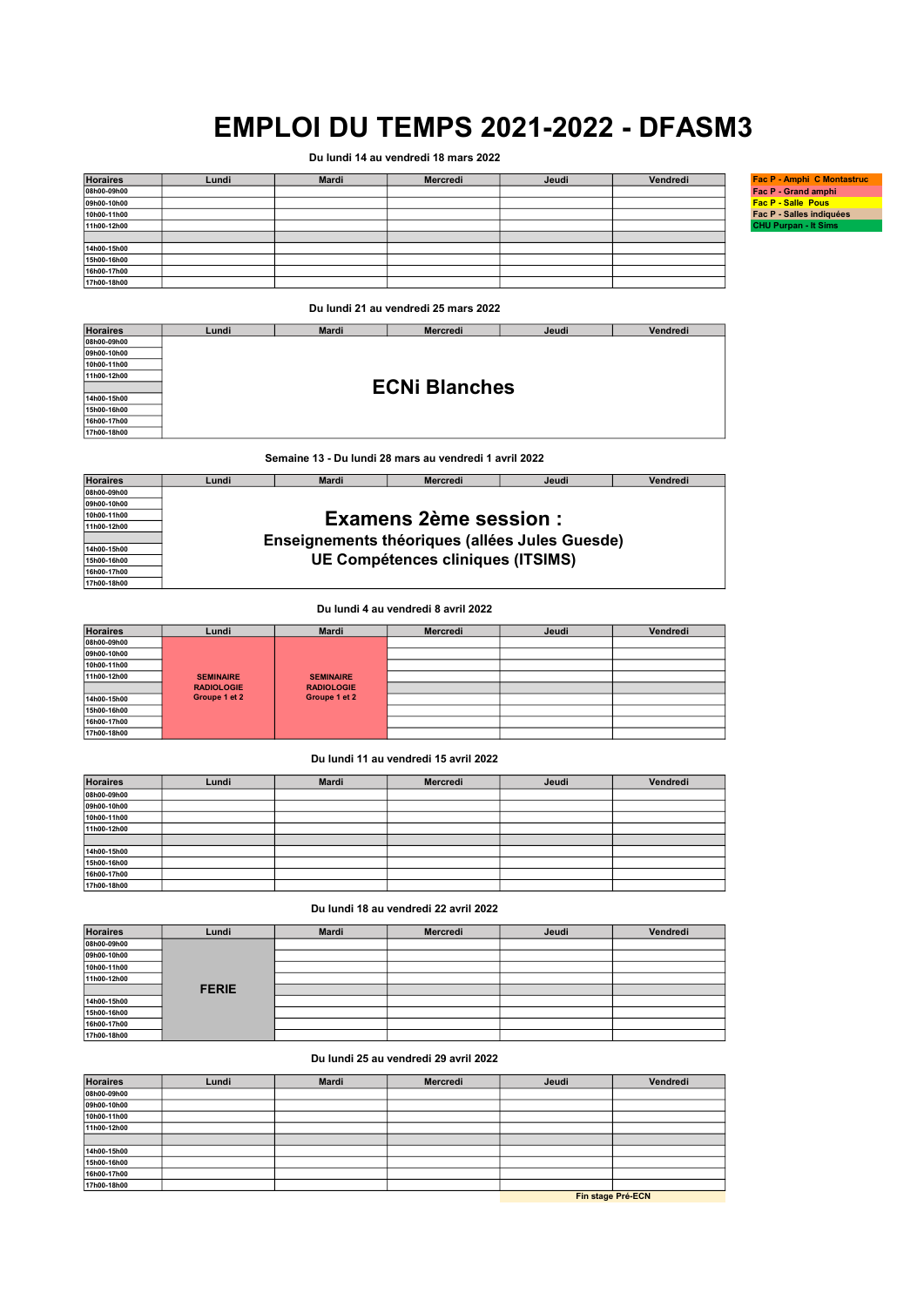Du lundi 14 au vendredi 18 mars 2022

| <b>Horaires</b> | Lundi | Mardi | Mercredi | Jeudi | Vendredi | Fac P - Amphi C Montastruc  |
|-----------------|-------|-------|----------|-------|----------|-----------------------------|
| 08h00-09h00     |       |       |          |       |          | Fac P - Grand amphi         |
| 09h00-10h00     |       |       |          |       |          | <b>Fac P - Salle Pous</b>   |
| 10h00-11h00     |       |       |          |       |          | Fac P - Salles indiquées    |
| 11h00-12h00     |       |       |          |       |          | <b>CHU Purpan - It Sims</b> |
|                 |       |       |          |       |          |                             |
| 14h00-15h00     |       |       |          |       |          |                             |
| 15h00-16h00     |       |       |          |       |          |                             |
| 16h00-17h00     |       |       |          |       |          |                             |
| 17h00-18h00     |       |       |          |       |          |                             |

Du lundi 21 au vendredi 25 mars 2022

08h00-09h00 09h00-10h00 10h00-11h00 11h00-12h00 14h00-15h00 15h00-16h00 16h00-17h00 17h00-18h00 Lundi | Mardi | Mercredi | Jeudi | Vendredi

ECNi Blanches

Semaine 13 - Du lundi 28 mars au vendredi 1 avril 2022

| <b>Horaires</b> | Lundi                        | <b>Mardi</b> | <b>Mercredi</b>                   | Jeudi                                          | Vendredi |  |  |  |  |
|-----------------|------------------------------|--------------|-----------------------------------|------------------------------------------------|----------|--|--|--|--|
| 08h00-09h00     |                              |              |                                   |                                                |          |  |  |  |  |
| 09h00-10h00     |                              |              |                                   |                                                |          |  |  |  |  |
| 10h00-11h00     | <b>Examens 2ème session:</b> |              |                                   |                                                |          |  |  |  |  |
| 11h00-12h00     |                              |              |                                   |                                                |          |  |  |  |  |
|                 |                              |              |                                   | Enseignements théoriques (allées Jules Guesde) |          |  |  |  |  |
| 14h00-15h00     |                              |              |                                   |                                                |          |  |  |  |  |
| 15h00-16h00     |                              |              | UE Compétences cliniques (ITSIMS) |                                                |          |  |  |  |  |
| 16h00-17h00     |                              |              |                                   |                                                |          |  |  |  |  |
| 17h00-18h00     |                              |              |                                   |                                                |          |  |  |  |  |

Du lundi 4 au vendredi 8 avril 2022

| <b>Horaires</b> | Lundi             | <b>Mardi</b>      | Mercredi | Jeudi | Vendredi |
|-----------------|-------------------|-------------------|----------|-------|----------|
| 08h00-09h00     |                   |                   |          |       |          |
| 09h00-10h00     |                   |                   |          |       |          |
| 10h00-11h00     |                   |                   |          |       |          |
| 11h00-12h00     | <b>SEMINAIRE</b>  | <b>SEMINAIRE</b>  |          |       |          |
|                 | <b>RADIOLOGIE</b> | <b>RADIOLOGIE</b> |          |       |          |
| 14h00-15h00     | Groupe 1 et 2     | Groupe 1 et 2     |          |       |          |
| 15h00-16h00     |                   |                   |          |       |          |
| 16h00-17h00     |                   |                   |          |       |          |
| 17h00-18h00     |                   |                   |          |       |          |

# Du lundi 11 au vendredi 15 avril 2022

| <b>Horaires</b> | Lundi | <b>Mardi</b> | Mercredi | Jeudi | Vendredi |
|-----------------|-------|--------------|----------|-------|----------|
| 08h00-09h00     |       |              |          |       |          |
| 09h00-10h00     |       |              |          |       |          |
| 10h00-11h00     |       |              |          |       |          |
| 11h00-12h00     |       |              |          |       |          |
|                 |       |              |          |       |          |
| 14h00-15h00     |       |              |          |       |          |
| 15h00-16h00     |       |              |          |       |          |
| 16h00-17h00     |       |              |          |       |          |
| 17h00-18h00     |       |              |          |       |          |

Du lundi 18 au vendredi 22 avril 2022

| <b>Horaires</b> | Lundi        | <b>Mardi</b> | Mercredi | Jeudi | Vendredi |
|-----------------|--------------|--------------|----------|-------|----------|
| 08h00-09h00     |              |              |          |       |          |
| 09h00-10h00     |              |              |          |       |          |
| 10h00-11h00     |              |              |          |       |          |
| 11h00-12h00     |              |              |          |       |          |
|                 | <b>FERIE</b> |              |          |       |          |
| 14h00-15h00     |              |              |          |       |          |
| 15h00-16h00     |              |              |          |       |          |
| 16h00-17h00     |              |              |          |       |          |
| 17h00-18h00     |              |              |          |       |          |

Du lundi 25 au vendredi 29 avril 2022

| <b>Horaires</b> | Lundi | <b>Mardi</b> | Mercredi | Jeudi | Vendredi                                         |
|-----------------|-------|--------------|----------|-------|--------------------------------------------------|
| 08h00-09h00     |       |              |          |       |                                                  |
| 09h00-10h00     |       |              |          |       |                                                  |
| 10h00-11h00     |       |              |          |       |                                                  |
| 11h00-12h00     |       |              |          |       |                                                  |
|                 |       |              |          |       |                                                  |
| 14h00-15h00     |       |              |          |       |                                                  |
| 15h00-16h00     |       |              |          |       |                                                  |
| 16h00-17h00     |       |              |          |       |                                                  |
| 17h00-18h00     |       |              |          |       |                                                  |
|                 |       |              |          |       | $P: A \rightarrow B \rightarrow P \rightarrow A$ |

Fin stage Pré-ECN